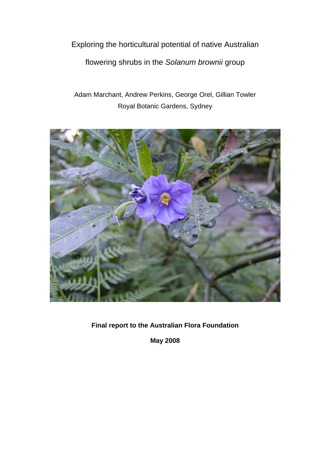Exploring the horticultural potential of native Australian

flowering shrubs in the *Solanum brownii* group

Adam Marchant, Andrew Perkins, George Orel, Gillian Towler Royal Botanic Gardens, Sydney



**Final report to the Australian Flora Foundation** 

**May 2008**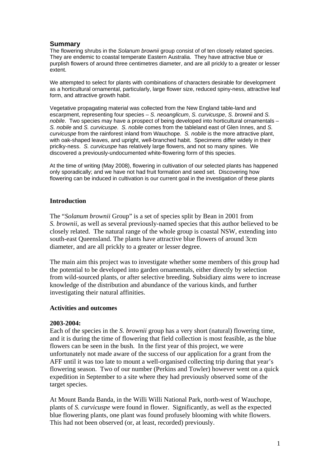# **Summary**

The flowering shrubs in the *Solanum brownii* group consist of of ten closely related species. They are endemic to coastal temperate Eastern Australia. They have attractive blue or purplish flowers of around three centimetres diameter, and are all prickly to a greater or lesser extent.

We attempted to select for plants with combinations of characters desirable for development as a horticultural ornamental, particularly, large flower size, reduced spiny-ness, attractive leaf form, and attractive growth habit.

Vegetative propagating material was collected from the New England table-land and escarpment, representing four species – *S. neoanglicum*, *S. curvicuspe*, *S. brownii* and *S. nobile*. Two species may have a prospect of being developed into horticultural ornamentals – *S. nobile* and *S. curvicuspe*. *S. nobile* comes from the tableland east of Glen Innes, and *S. curvicuspe* from the rainforest inland from Wauchope. *S. nobile* is the more attractive plant, with oak-shaped leaves, and upright, well-branched habit. Specimens differ widely in their priclky-ness. *S. curvicuspe* has relatively large flowers, and not so many spines. We discovered a previously-undocumented white-flowering form of this species.

At the time of writing (May 2008), flowering in cultivation of our selected plants has happened only sporadically; and we have not had fruit formation and seed set. Discovering how flowering can be induced in cultivation is our current goal in the investigation of these plants

# **Introduction**

The "*Solanum brownii* Group" is a set of species split by Bean in 2001 from *S. brownii*, as well as several previously-named species that this author believed to be closely related. The natural range of the whole group is coastal NSW, extending into south-east Queensland. The plants have attractive blue flowers of around 3cm diameter, and are all prickly to a greater or lesser degree.

The main aim this project was to investigate whether some members of this group had the potential to be developed into garden ornamentals, either directly by selection from wild-sourced plants, or after selective breeding. Subsidiary aims were to increase knowledge of the distribution and abundance of the various kinds, and further investigating their natural affinities.

### **Activities and outcomes**

### **2003-2004:**

Each of the species in the *S. brownii* group has a very short (natural) flowering time, and it is during the time of flowering that field collection is most feasible, as the blue flowers can be seen in the bush. In the first year of this project, we were unfortunately not made aware of the success of our application for a grant from the AFF until it was too late to mount a well-organised collecting trip during that year's flowering season. Two of our number (Perkins and Towler) however went on a quick expedition in September to a site where they had previously observed some of the target species.

At Mount Banda Banda, in the Willi Willi National Park, north-west of Wauchope, plants of *S. curvicuspe* were found in flower. Significantly, as well as the expected blue flowering plants, one plant was found profusely blooming with white flowers. This had not been observed (or, at least, recorded) previously.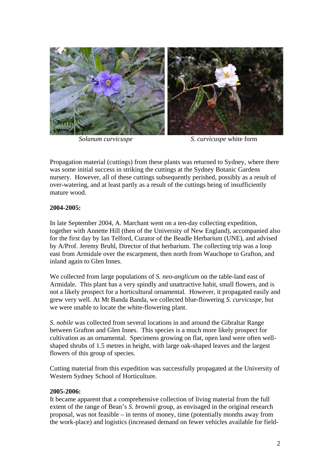

*Solanum curvicuspe S. curvicuspe* white form

Propagation material (cuttings) from these plants was returned to Sydney, where there was some initial success in striking the cuttings at the Sydney Botanic Gardens nursery. However, all of these cuttings subsequently perished, possibly as a result of over-watering, and at least partly as a result of the cuttings being of insufficiently mature wood.

# **2004-2005:**

In late September 2004, A. Marchant went on a ten-day collecting expedition, together with Annette Hill (then of the University of New England), accompanied also for the first day by Ian Telford, Curator of the Beadle Herbarium (UNE), and advised by A/Prof. Jeremy Bruhl, Director of that herbarium. The collecting trip was a loop east from Armidale over the escarpment, then north from Wauchope to Grafton, and inland again to Glen Innes.

We collected from large populations of *S. neo-anglicum* on the table-land east of Armidale. This plant has a very spindly and unattractive habit, small flowers, and is not a likely prospect for a horticultural ornamental. However, it propagated easily and grew very well. At Mt Banda Banda, we collected blue-flowering *S. curvicuspe*, but we were unable to locate the white-flowering plant.

*S. nobile* was collected from several locations in and around the Gibraltar Range between Grafton and Glen Innes. This species is a much more likely prospect for cultivation as an ornamental. Specimens growing on flat, open land were often wellshaped shrubs of 1.5 metres in height, with large oak-shaped leaves and the largest flowers of this group of species.

Cutting material from this expedition was successfully propagated at the University of Western Sydney School of Horticulture.

# **2005-2006:**

It became apparent that a comprehensive collection of living material from the full extent of the range of Bean's *S. brownii* group, as envisaged in the original research proposal, was not feasible – in terms of money, time (potentially months away from the work-place) and logistics (increased demand on fewer vehicles available for field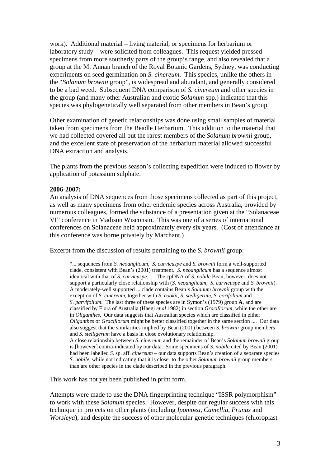work). Additional material – living material, or specimens for herbarium or laboratory study – were solicited from colleagues. This request yielded pressed specimens from more southerly parts of the group's range, and also revealed that a group at the Mt Annan branch of the Royal Botanic Gardens, Sydney, was conducting experiments on seed germination on *S. cinereum*. This species, unlike the others in the "*Solanum brownii* group", is widespread and abundant, and generally considered to be a bad weed. Subsequent DNA comparison of *S. cinereum* and other species in the group (and many other Australian and exotic *Solanum* spp.) indicated that this species was phylogenetically well separated from other members in Bean's group.

Other examination of genetic relationships was done using small samples of material taken from specimens from the Beadle Herbarium. This addition to the material that we had collected covered all but the rarest members of the *Solanum brownii* group, and the excellent state of preservation of the herbarium material allowed successful DNA extraction and analysis.

The plants from the previous season's collecting expedition were induced to flower by application of potassium sulphate.

#### **2006-2007:**

An analysis of DNA sequences from those specimens collected as part of this project, as well as many specimens from other endemic species across Australia, provided by numerous colleagues, formed the substance of a presentation given at the "Solanaceae VI" conference in Madison Wisconsin. This was one of a series of international conferences on Solanaceae held approximately every six years. (Cost of attendance at this conference was borne privately by Marchant.)

Excerpt from the discussion of results pertaining to the *S. brownii* group:

"... sequences from *S. neoanglicum*, *S. curvicuspe* and *S. brownii* form a well-supported clade, consistent with Bean's (2001) treatment. *S. neoanglicum* has a sequence almost identical with that of *S. curvicuspe*. ... The cpDNA of *S. nobile* Bean, however, does not support a particularly close relationship with (*S. neoanglicum*, *S. curvicuspe* and *S. brownii*). A moderately-well supported ... clade contains Bean's *Solanum brownii* group with the exception of *S. cinereum*, together with *S. cookii*, *S. stelligerum*, *S. corifolium* and *S. parvifolium*. The last three of these species are in Symon's (1979) group **A**, and are classified by Flora of Australia (Haegi *et al* 1982) in section *Graciflorum*, while the other are in *Oliganthes*. Our data suggests that Australian species which are classified in either *Oliganthes* or *Graciflorum* might be better classified together in the same section .... Our data also suggest that the similarities implied by Bean (2001) between *S. brownii* group members and *S. stelligerum* have a basis in close evolutionary relationship. A close relationship between *S. cinereum* and the remainder of Bean's *Solanum brownii* group is [however] contra-indicated by our data. Some specimens of *S. nobile* cited by Bean (2001) had been labelled *S.* sp. aff. *cinereum* – our data supports Bean's creation of a separate species *S. nobile*, while not indicating that it is closer to the other *Solanum brownii* group members than are other species in the clade described in the previous paragraph.

This work has not yet been published in print form.

Attempts were made to use the DNA fingerprinting technique "ISSR polymorphism" to work with these *Solanum* species. However, despite our regular success with this technique in projects on other plants (including *Ipomoea*, *Camellia*, *Prunus* and *Worsleya*), and despite the success of other molecular genetic techniques (chloroplast)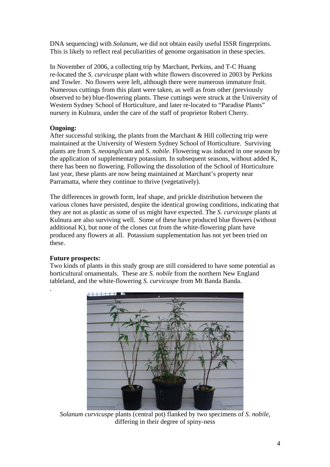DNA sequencing) with *Solanum*, we did not obtain easily useful ISSR fingerprints. This is likely to reflect real peculiarities of genome organisation in these species.

In November of 2006, a collecting trip by Marchant, Perkins, and T-C Huang re-located the *S. curvicuspe* plant with white flowers discovered in 2003 by Perkins and Towler. No flowers were left, although there were numerous immature fruit. Numerous cuttings from this plant were taken, as well as from other (previously observed to be) blue-flowering plants. These cuttings were struck at the University of Western Sydney School of Horticulture, and later re-located to "Paradise Plants" nursery in Kulnura, under the care of the staff of proprietor Robert Cherry.

# **Ongoing:**

After successful striking, the plants from the Marchant  $&$  Hill collecting trip were maintained at the University of Western Sydney School of Horticulture. Surviving plants are from *S. neoanglicum* and *S. nobile*. Flowering was induced in one season by the application of supplementary potassium. In subsequent seasons, without added K, there has been no flowering. Following the dissolution of the School of Horticulture last year, these plants are now being maintained at Marchant's property near Parramatta, where they continue to thrive (vegetatively).

The differences in growth form, leaf shape, and prickle distribution between the various clones have persisted, despite the identical growing conditions, indicating that they are not as plastic as some of us might have expected. The *S. curvicuspe* plants at Kulnura are also surviving well. Some of these have produced blue flowers (without additional K), but none of the clones cut from the white-flowering plant have produced any flowers at all. Potassium supplementation has not yet been tried on these.

# **Future prospects:**

.

Two kinds of plants in this study group are still considered to have some potential as horticultural ornamentals. These are *S. nobile* from the northern New England tableland, and the white-flowering *S. curvicuspe* from Mt Banda Banda.



*Solanum curvicuspe* plants (central pot) flanked by two specimens of *S. nobile*, differing in their degree of spiny-ness